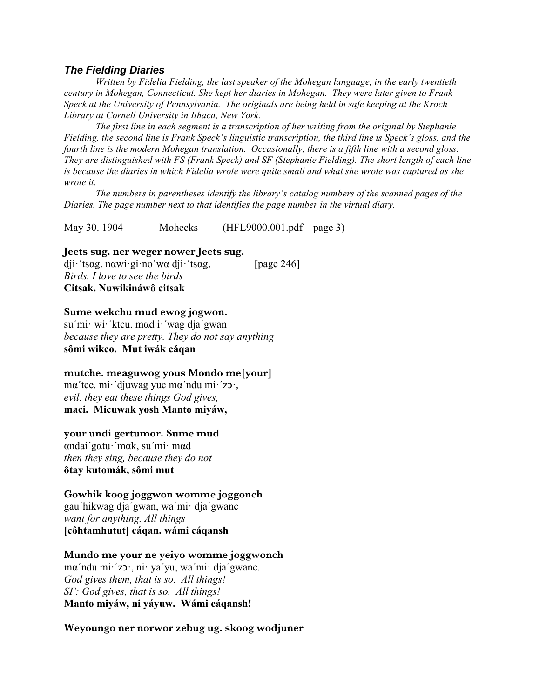## *The Fielding Diaries*

*Written by Fidelia Fielding, the last speaker of the Mohegan language, in the early twentieth century in Mohegan, Connecticut. She kept her diaries in Mohegan. They were later given to Frank Speck at the University of Pennsylvania. The originals are being held in safe keeping at the Kroch Library at Cornell University in Ithaca, New York.*

*The first line in each segment is a transcription of her writing from the original by Stephanie Fielding, the second line is Frank Speck's linguistic transcription, the third line is Speck's gloss, and the fourth line is the modern Mohegan translation. Occasionally, there is a fifth line with a second gloss. They are distinguished with FS (Frank Speck) and SF (Stephanie Fielding). The short length of each line is because the diaries in which Fidelia wrote were quite small and what she wrote was captured as she wrote it.*

*The numbers in parentheses identify the library's catalog numbers of the scanned pages of the Diaries. The page number next to that identifies the page number in the virtual diary.*

May 30. 1904 Mohecks (HFL9000.001.pdf – page 3)

## **Jeets sug. ner weger nower Jeets sug.**

dji·'tsag. nawi·gi·no'wa dji·'tsag, [page 246] *Birds. I love to see the birds* **Citsak. Nuwikináwô citsak**

#### **Sume wekchu mud ewog jogwon.**

su´mi· wi·´ktcu. mαd i·´wag dja´gwan *because they are pretty. They do not say anything* **sômi wikco. Mut iwák cáqan**

## **mutche. meaguwog yous Mondo me[your]**

mα´tce. mi·´djuwag yuc mα´ndu mi·´zɔ·, *evil. they eat these things God gives,* **maci. Micuwak yosh Manto miyáw,** 

#### **your undi gertumor. Sume mud**

αndai´gαtu·´mαk, su´mi· mαd *then they sing, because they do not* **ôtay kutomák, sômi mut**

## **Gowhik koog joggwon womme joggonch**

gau´hikwag dja´gwan, wa´mi· dja´gwanc *want for anything. All things* **[côhtamhutut] cáqan. wámi cáqansh**

#### **Mundo me your ne yeiyo womme joggwonch**

mα´ndu mi·´zɔ·, ni· ya´yu, wa´mi· dja´gwanc. *God gives them, that is so. All things! SF: God gives, that is so. All things!* **Manto miyáw, ni yáyuw. Wámi cáqansh!**

#### **Weyoungo ner norwor zebug ug. skoog wodjuner**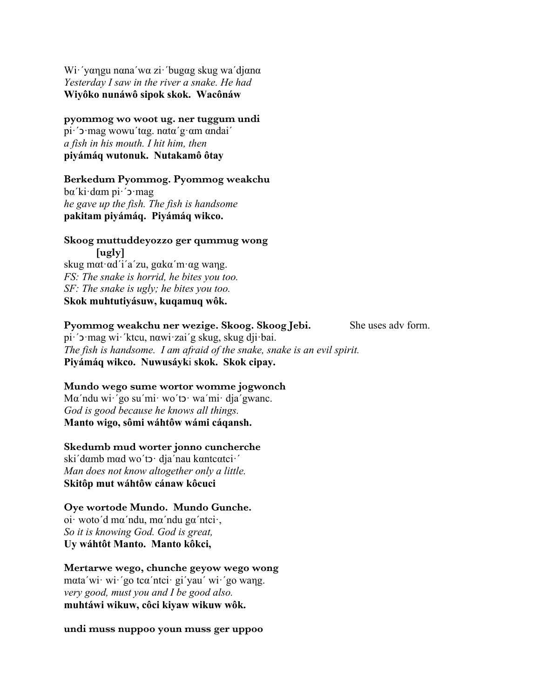Wi·´yαηgu nαna´wα zi·´bugαg skug wa´djαnα *Yesterday I saw in the river a snake. He had* **Wiyôko nunáwô sipok skok. Wacônáw**

### **pyommog wo woot ug. ner tuggum undi**

pi·´ɔ·mag wowu´tαg. nαtα´g·αm αndai´ *a fish in his mouth. I hit him, then* **piyámáq wutonuk. Nutakamô ôtay**

## **Berkedum Pyommog. Pyommog weakchu**

bα´ki·dαm pi·´ɔ·mag *he gave up the fish. The fish is handsome* **pakitam piyámáq. Piyámáq wikco.**

#### **Skoog muttuddeyozzo ger qummug wong [ugly]**

skug mαt·αd´i´a´zu, gαkα´m·αg waηg. *FS: The snake is horrid, he bites you too. SF: The snake is ugly; he bites you too.* **Skok muhtutiyásuw, kuqamuq wôk.**

# **Pyommog weakchu ner wezige. Skoog. Skoog Jebi.** She uses adv form.

pi·´ɔ·mag wi·´ktcu, nαwi·zai´g skug, skug dji·bai. *The fish is handsome. I am afraid of the snake, snake is an evil spirit.* **Piyámáq wikco. Nuwusáyk**i **skok. Skok cipay.**

## **Mundo wego sume wortor womme jogwonch**

Mα´ndu wi·´go su´mi· wo´tɔ· wa´mi· dja´gwanc. *God is good because he knows all things.* **Manto wigo, sômi wáhtôw wámi cáqansh.**

### **Skedumb mud worter jonno cuncherche**

ski´dαmb mαd wo´tɔ· dja´nau kαntcαtci·´ *Man does not know altogether only a little.* **Skitôp mut wáhtôw cánaw kôcuci**

#### **Oye wortode Mundo. Mundo Gunche.**

oi· woto´d mα´ndu, mα´ndu gα´ntci·, *So it is knowing God. God is great,* **Uy wáhtôt Manto. Manto kôkci,**

# **Mertarwe wego, chunche geyow wego wong** mαta´wi· wi·´go tcα´ntci· gi´yau´ wi·´go waηg. *very good, must you and I be good also.* **muhtáwi wikuw, côci kiyaw wikuw wôk.**

#### **undi muss nuppoo youn muss ger uppoo**